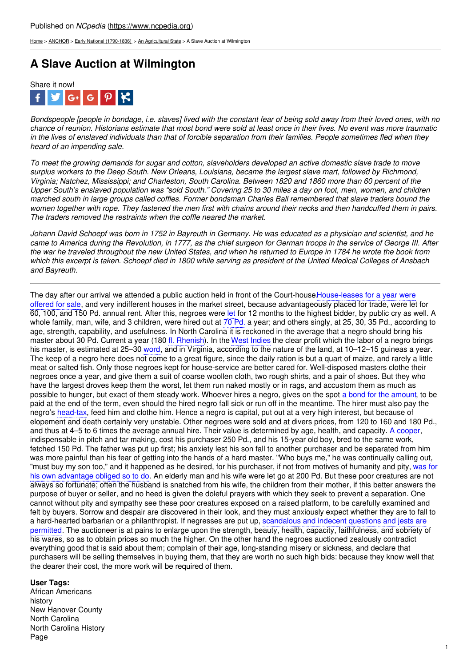[Home](https://www.ncpedia.org/) > [ANCHOR](https://www.ncpedia.org/anchor/anchor) > Early National [\(1790-1836\)](https://www.ncpedia.org/anchor/early-national-1790-1836) > An [Agricultural](https://www.ncpedia.org/anchor/agricultural-state) State > A Slave Auction at Wilmington

## **A Slave Auction at Wilmington**



Bondspeople lpeople in bondage, i.e. slaves) lived with the constant fear of being sold away from their loved ones, with no chance of reunion. Historians estimate that most bond were sold at least once in their lives. No event was more traumatic in the lives of enslaved individuals than that of forcible separation from their families. People sometimes fled when they *heard of an impending sale.*

To meet the growing demands for sugar and cotton, slaveholders developed an active domestic slave trade to move surplus workers to the Deep South. New Orleans, Louisiana, became the largest slave mart, followed by Richmond, Virginia; Natchez, Mississippi; and Charleston, South Carolina. Between 1820 and 1860 more than 60 percent of the Upper South's enslaved population was "sold South." Covering 25 to 30 miles a day on foot, men, women, and children marched south in large groups called coffles. Former bondsman Charles Ball remembered that slave traders bound the women together with rope. They fa[stened](http://www.social9.com) the men first with chains around their necks and then handcuffed them in pairs. *The traders removed the restraints when the coffle neared the market.*

Johann David Schoepf was born in 1752 in Bayreuth in Germany. He was educated as a physician and scientist, and he came to America during the Revolution, in 1777, as the chief surgeon for German troops in the service of George III. After the war he traveled throughout the new United States, and when he returned to Europe in 1784 he wrote the book from which this excerpt is taken. Schoepf died in 1800 while serving as president of the United Medical Colleges of Ansbach *and Bayreuth.*

The day after our arrival we attended a public auction held in front of the Court-house House-leases for a year were offered for sale, and very indifferent houses in the market street, because advantageously placed for trade, were let for 60, 100, and 150 Pd. annual rent. After this, negroes were let for 12 months to the highest bidder, by public cry as well. A whole family, man, wife, and 3 children, were hired out at 70 Pd. a year; and others singly, at 25, 30, 35 Pd., according to age, strength, capability, and usefulness. In North Carolina it is reckoned in the average that a negro should bring his master about 30 Pd. Current a year (180 fl. Rhenish). In the West Indies the clear profit which the labor of a negro brings his master, is estimated at 25–30 word, and in Virginia, according to the nature of the land, at 10–12–15 guineas a year. The keep of a negro here does not come to a great figure, since the daily ration is but a quart of maize, and rarely a little meat or salted fish. Only those negroes kept for house-service are better cared for. Well-disposed masters clothe their negroes once a year, and give them a suit of coarse woollen cloth, two rough shirts, and a pair of shoes. But they who have the largest droves keep them the worst, let them run naked mostly or in rags, and accustom them as much as possible to hunger, but exact of them steady work. Whoever hires a negro, gives on the spot a bond for the amount, to be paid at the end of the term, even should the hired negro fall sick or run off in the meantime. The hirer must also pay the negro's head-tax, feed him and clothe him. Hence a negro is capital, put out at a very high interest, but because of elopement and death certainly very unstable. Other negroes were sold and at divers prices, from 120 to 160 and 180 Pd., and thus at 4–5 to 6 times the average annual hire. Their value is determined by age, health, and capacity. A cooper, indispensable in pitch and tar making, cost his purchaser 250 Pd., and his 15-year old boy, bred to the same work, fetched 150 Pd. The father was put up first; his anxiety lest his son fall to another purchaser and be separated from him was more painful than his fear of getting into the hands of a hard master. "Who buys me," he was continually calling out, "must buy my son too," and it happened as he desired, for his purchaser, if not from motives of humanity and pity, was for his own advantage obliged so to do. An elderly man and his wife were let go at 200 Pd. But these poor creatures are not always so fortunate; often the husband is snatched from his wife, the children from their mother, if this better answers the purpose of buyer or seller, and no heed is given the doleful prayers with which they seek to prevent a separation. One cannot without pity and sympathy see these poor creatures exposed on a raised platform, to be carefully examined and felt by buyers. Sorrow and despair are discovered in their look, and they must anxiously expect whether they are to fall to a hard-hearted barbarian or a philanthropist. If negresses are put up, scandalous and indecent questions and jests are permitted. The auctioneer is at pains to enlarge upon the strength, beauty, health, capacity, faithfulness, and sobriety of his wares, so as to obtain prices so much the higher. On the other hand the negroes auctioned zealously contradict everything good that is said about them; complain of their age, long-standing misery or sickness, and declare that purchasers will be selling themselves in buying them, that they are worth no such high bids: because they know well that the dearer their cost, the more work will be required of them.

## **User Tags:**

African Americans history New Hanover County North Carolina North Carolina History Page